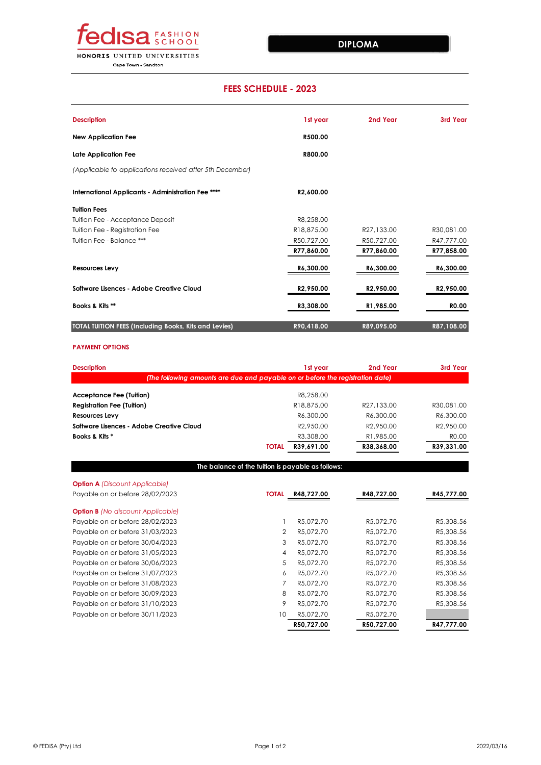

**Cape Town . Sandton** 

## **PAYMENT OPTIONS**

| <b>Description</b>                                           | 1st year               | 2nd Year   | 3rd Year     |
|--------------------------------------------------------------|------------------------|------------|--------------|
| <b>New Application Fee</b>                                   | R500.00                |            |              |
| Late Application Fee                                         | R800.00                |            |              |
| (Applicable to applications received after 5th December)     |                        |            |              |
| International Applicants - Administration Fee ****           | R2,600.00              |            |              |
| <b>Tuition Fees</b>                                          |                        |            |              |
| Tuition Fee - Acceptance Deposit                             | R8,258.00              |            |              |
| Tuition Fee - Registration Fee                               | R18,875.00             | R27,133.00 | R30,081.00   |
| Tuition Fee - Balance ***                                    | R50,727.00             | R50,727.00 | R47,777.00   |
|                                                              | R77,860.00             | R77,860.00 | R77,858.00   |
| <b>Resources Levy</b>                                        | R6,300.00              | R6,300.00  | R6,300.00    |
| <b>Software Lisences - Adobe Creative Cloud</b>              | R <sub>2</sub> ,950.00 | R2,950.00  | R2,950.00    |
| Books & Kits **                                              | R3,308.00              | R1,985.00  | <b>RO.00</b> |
| <b>TOTAL TUITION FEES (Including Books, Kits and Levies)</b> | R90,418.00             | R89,095.00 | R87,108.00   |

|    | R50,727.00 | R50,727.00 | R47,777.00 |
|----|------------|------------|------------|
| 10 | R5,072.70  | R5,072.70  |            |
|    | R5,072.70  | R5,072.70  | R5,308.56  |
| 8  | R5,072.70  | R5,072.70  | R5,308.56  |
|    | R5,072.70  | R5,072.70  | R5,308.56  |

| <b>Description</b>                                                             |                | 1st year   | 2nd Year   | 3rd Year   |
|--------------------------------------------------------------------------------|----------------|------------|------------|------------|
| (The following amounts are due and payable on or before the registration date) |                |            |            |            |
| <b>Acceptance Fee (Tuition)</b>                                                |                | R8,258.00  |            |            |
| <b>Registration Fee (Tuition)</b>                                              |                | R18,875.00 | R27,133.00 | R30,081.00 |
| <b>Resources Levy</b>                                                          |                | R6,300.00  | R6,300.00  | R6,300.00  |
| <b>Software Lisences - Adobe Creative Cloud</b>                                |                | R2,950.00  | R2,950.00  | R2,950.00  |
| Books & Kits *                                                                 |                | R3,308.00  | R1,985.00  | R0.00      |
|                                                                                | <b>TOTAL</b>   | R39,691.00 | R38,368.00 | R39,331.00 |
|                                                                                |                |            |            |            |
| The balance of the tuition is payable as follows:                              |                |            |            |            |
| <b>Option A</b> (Discount Applicable)                                          |                |            |            |            |
| Payable on or before 28/02/2023                                                | <b>TOTAL</b>   | R48,727.00 | R48,727.00 | R45,777.00 |
| <b>Option B</b> (No discount Applicable)                                       |                |            |            |            |
| Payable on or before 28/02/2023                                                |                | R5,072.70  | R5,072.70  | R5,308.56  |
| Payable on or before 31/03/2023                                                | $\overline{2}$ | R5,072.70  | R5,072.70  | R5,308.56  |
| Payable on or before 30/04/2023                                                | 3              | R5,072.70  | R5,072.70  | R5,308.56  |
| Payable on or before 31/05/2023                                                | 4              | R5,072.70  | R5,072.70  | R5,308.56  |
| Payable on or before 30/06/2023                                                | 5              | R5,072.70  | R5,072.70  | R5,308.56  |
| Payable on or before 31/07/2023                                                | 6              | R5,072.70  | R5,072.70  | R5,308.56  |

Payable on or before 31/08/2023 Payable on or before 30/09/2023 Payable on or before 31/10/2023 Payable on or before 30/11/2023

## **FEES SCHEDULE - 2023**

## **DIPLOMA**